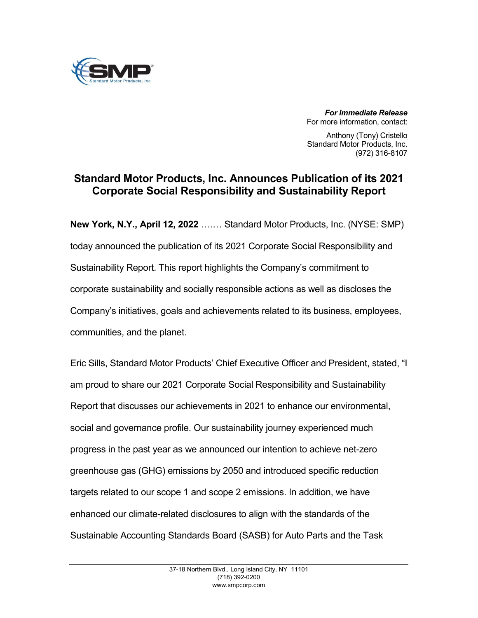

*For Immediate Release* For more information, contact:

Anthony (Tony) Cristello Standard Motor Products, Inc. (972) 316-8107

## **Standard Motor Products, Inc. Announces Publication of its 2021 Corporate Social Responsibility and Sustainability Report**

**New York, N.Y., April 12, 2022** ….… Standard Motor Products, Inc. (NYSE: SMP) today announced the publication of its 2021 Corporate Social Responsibility and Sustainability Report. This report highlights the Company's commitment to corporate sustainability and socially responsible actions as well as discloses the Company's initiatives, goals and achievements related to its business, employees, communities, and the planet.

Eric Sills, Standard Motor Products' Chief Executive Officer and President, stated, "I am proud to share our 2021 Corporate Social Responsibility and Sustainability Report that discusses our achievements in 2021 to enhance our environmental, social and governance profile. Our sustainability journey experienced much progress in the past year as we announced our intention to achieve net-zero greenhouse gas (GHG) emissions by 2050 and introduced specific reduction targets related to our scope 1 and scope 2 emissions. In addition, we have enhanced our climate-related disclosures to align with the standards of the Sustainable Accounting Standards Board (SASB) for Auto Parts and the Task